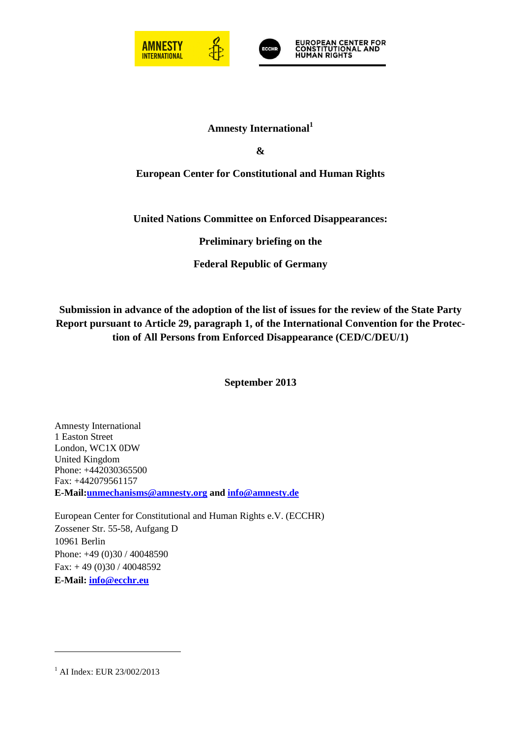



# **Amnesty International<sup>1</sup>**

**&** 

## **European Center for Constitutional and Human Rights**

## **United Nations Committee on Enforced Disappearances:**

**Preliminary briefing on the** 

**Federal Republic of Germany** 

**Submission in advance of the adoption of the list of issues for the review of the State Party Report pursuant to Article 29, paragraph 1, of the International Convention for the Protection of All Persons from Enforced Disappearance (CED/C/DEU/1)** 

**September 2013** 

Amnesty International 1 Easton Street London, WC1X 0DW United Kingdom Phone: +442030365500 Fax: +442079561157 **E-Mail:unmechanisms@amnesty.org and info@amnesty.de**

European Center for Constitutional and Human Rights e.V. (ECCHR) Zossener Str. 55-58, Aufgang D 10961 Berlin Phone: +49 (0)30 / 40048590 Fax: + 49 (0)30 / 40048592 **E-Mail: info@ecchr.eu**

<sup>&</sup>lt;sup>1</sup> AI Index: EUR 23/002/2013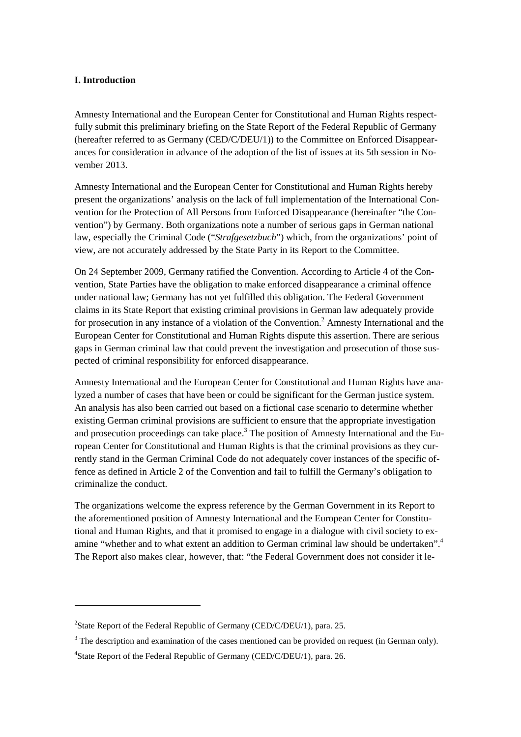## **I. Introduction**

Amnesty International and the European Center for Constitutional and Human Rights respectfully submit this preliminary briefing on the State Report of the Federal Republic of Germany (hereafter referred to as Germany (CED/C/DEU/1)) to the Committee on Enforced Disappearances for consideration in advance of the adoption of the list of issues at its 5th session in November 2013.

Amnesty International and the European Center for Constitutional and Human Rights hereby present the organizations' analysis on the lack of full implementation of the International Convention for the Protection of All Persons from Enforced Disappearance (hereinafter "the Convention") by Germany. Both organizations note a number of serious gaps in German national law, especially the Criminal Code ("*Strafgesetzbuch*") which, from the organizations' point of view, are not accurately addressed by the State Party in its Report to the Committee.

On 24 September 2009, Germany ratified the Convention. According to Article 4 of the Convention, State Parties have the obligation to make enforced disappearance a criminal offence under national law; Germany has not yet fulfilled this obligation. The Federal Government claims in its State Report that existing criminal provisions in German law adequately provide for prosecution in any instance of a violation of the Convention.<sup>2</sup> Amnesty International and the European Center for Constitutional and Human Rights dispute this assertion. There are serious gaps in German criminal law that could prevent the investigation and prosecution of those suspected of criminal responsibility for enforced disappearance.

Amnesty International and the European Center for Constitutional and Human Rights have analyzed a number of cases that have been or could be significant for the German justice system. An analysis has also been carried out based on a fictional case scenario to determine whether existing German criminal provisions are sufficient to ensure that the appropriate investigation and prosecution proceedings can take place.<sup>3</sup> The position of Amnesty International and the European Center for Constitutional and Human Rights is that the criminal provisions as they currently stand in the German Criminal Code do not adequately cover instances of the specific offence as defined in Article 2 of the Convention and fail to fulfill the Germany's obligation to criminalize the conduct.

The organizations welcome the express reference by the German Government in its Report to the aforementioned position of Amnesty International and the European Center for Constitutional and Human Rights, and that it promised to engage in a dialogue with civil society to examine "whether and to what extent an addition to German criminal law should be undertaken".<sup>4</sup> The Report also makes clear, however, that: "the Federal Government does not consider it le-

<sup>&</sup>lt;sup>2</sup>State Report of the Federal Republic of Germany (CED/C/DEU/1), para. 25.

 $3$  The description and examination of the cases mentioned can be provided on request (in German only).

<sup>&</sup>lt;sup>4</sup>State Report of the Federal Republic of Germany (CED/C/DEU/1), para. 26.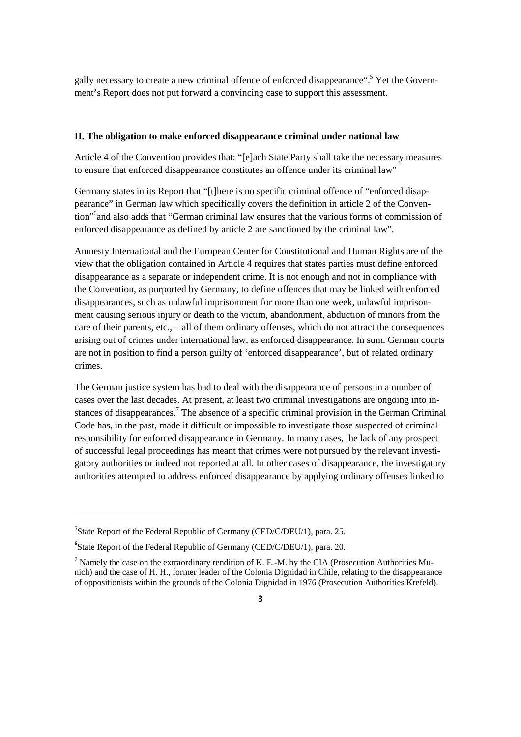gally necessary to create a new criminal offence of enforced disappearance".<sup>5</sup> Yet the Government's Report does not put forward a convincing case to support this assessment.

#### **II. The obligation to make enforced disappearance criminal under national law**

Article 4 of the Convention provides that: "[e]ach State Party shall take the necessary measures to ensure that enforced disappearance constitutes an offence under its criminal law"

Germany states in its Report that "[t]here is no specific criminal offence of "enforced disappearance" in German law which specifically covers the definition in article 2 of the Convention"<sup>6</sup> and also adds that "German criminal law ensures that the various forms of commission of enforced disappearance as defined by article 2 are sanctioned by the criminal law".

Amnesty International and the European Center for Constitutional and Human Rights are of the view that the obligation contained in Article 4 requires that states parties must define enforced disappearance as a separate or independent crime. It is not enough and not in compliance with the Convention, as purported by Germany, to define offences that may be linked with enforced disappearances, such as unlawful imprisonment for more than one week, unlawful imprisonment causing serious injury or death to the victim, abandonment, abduction of minors from the care of their parents, etc., – all of them ordinary offenses, which do not attract the consequences arising out of crimes under international law, as enforced disappearance. In sum, German courts are not in position to find a person guilty of 'enforced disappearance', but of related ordinary crimes.

The German justice system has had to deal with the disappearance of persons in a number of cases over the last decades. At present, at least two criminal investigations are ongoing into instances of disappearances.<sup>7</sup> The absence of a specific criminal provision in the German Criminal Code has, in the past, made it difficult or impossible to investigate those suspected of criminal responsibility for enforced disappearance in Germany. In many cases, the lack of any prospect of successful legal proceedings has meant that crimes were not pursued by the relevant investigatory authorities or indeed not reported at all. In other cases of disappearance, the investigatory authorities attempted to address enforced disappearance by applying ordinary offenses linked to

<sup>&</sup>lt;sup>5</sup>State Report of the Federal Republic of Germany (CED/C/DEU/1), para. 25.

**<sup>6</sup>** State Report of the Federal Republic of Germany (CED/C/DEU/1), para. 20.

<sup>&</sup>lt;sup>7</sup> Namely the case on the extraordinary rendition of K. E.-M. by the CIA (Prosecution Authorities Munich) and the case of H. H., former leader of the Colonia Dignidad in Chile, relating to the disappearance of oppositionists within the grounds of the Colonia Dignidad in 1976 (Prosecution Authorities Krefeld).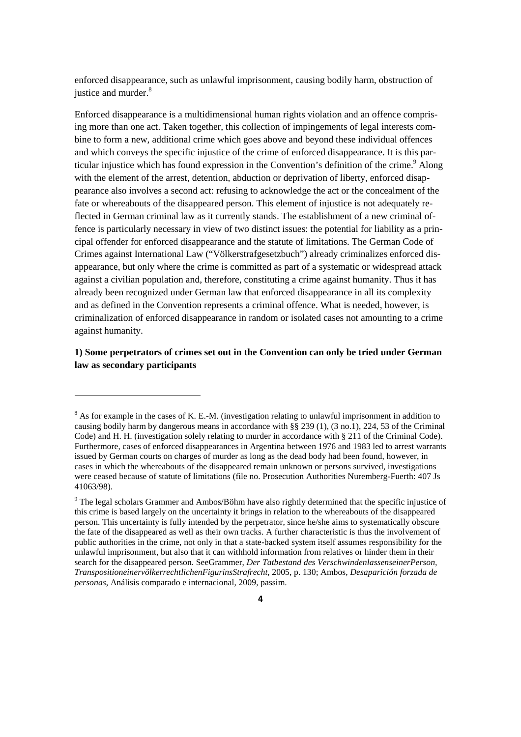enforced disappearance, such as unlawful imprisonment, causing bodily harm, obstruction of justice and murder.<sup>8</sup>

Enforced disappearance is a multidimensional human rights violation and an offence comprising more than one act. Taken together, this collection of impingements of legal interests combine to form a new, additional crime which goes above and beyond these individual offences and which conveys the specific injustice of the crime of enforced disappearance. It is this particular injustice which has found expression in the Convention's definition of the crime.<sup>9</sup> Along with the element of the arrest, detention, abduction or deprivation of liberty, enforced disappearance also involves a second act: refusing to acknowledge the act or the concealment of the fate or whereabouts of the disappeared person. This element of injustice is not adequately reflected in German criminal law as it currently stands. The establishment of a new criminal offence is particularly necessary in view of two distinct issues: the potential for liability as a principal offender for enforced disappearance and the statute of limitations. The German Code of Crimes against International Law ("Völkerstrafgesetzbuch") already criminalizes enforced disappearance, but only where the crime is committed as part of a systematic or widespread attack against a civilian population and, therefore, constituting a crime against humanity. Thus it has already been recognized under German law that enforced disappearance in all its complexity and as defined in the Convention represents a criminal offence. What is needed, however, is criminalization of enforced disappearance in random or isolated cases not amounting to a crime against humanity.

**1) Some perpetrators of crimes set out in the Convention can only be tried under German law as secondary participants** 

 $8$  As for example in the cases of K. E.-M. (investigation relating to unlawful imprisonment in addition to causing bodily harm by dangerous means in accordance with §§ 239 (1), (3 no.1), 224, 53 of the Criminal Code) and H. H. (investigation solely relating to murder in accordance with § 211 of the Criminal Code). Furthermore, cases of enforced disappearances in Argentina between 1976 and 1983 led to arrest warrants issued by German courts on charges of murder as long as the dead body had been found, however, in cases in which the whereabouts of the disappeared remain unknown or persons survived, investigations were ceased because of statute of limitations (file no. Prosecution Authorities Nuremberg-Fuerth: 407 Js 41063/98).

<sup>&</sup>lt;sup>9</sup> The legal scholars Grammer and Ambos/Böhm have also rightly determined that the specific injustice of this crime is based largely on the uncertainty it brings in relation to the whereabouts of the disappeared person. This uncertainty is fully intended by the perpetrator, since he/she aims to systematically obscure the fate of the disappeared as well as their own tracks. A further characteristic is thus the involvement of public authorities in the crime, not only in that a state-backed system itself assumes responsibility for the unlawful imprisonment, but also that it can withhold information from relatives or hinder them in their search for the disappeared person. SeeGrammer, *Der Tatbestand des VerschwindenlassenseinerPerson, TranspositioneinervölkerrechtlichenFigurinsStrafrecht*, 2005, p. 130; Ambos, *Desaparición forzada de personas*, Análisis comparado e internacional, 2009, passim.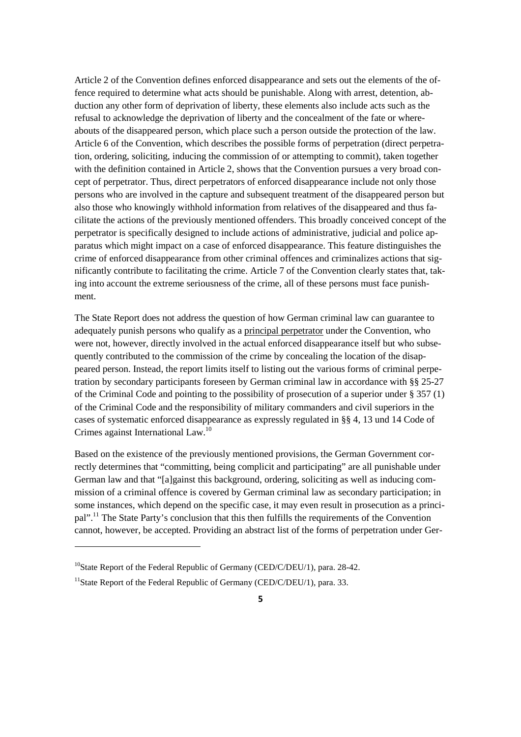Article 2 of the Convention defines enforced disappearance and sets out the elements of the offence required to determine what acts should be punishable. Along with arrest, detention, abduction any other form of deprivation of liberty, these elements also include acts such as the refusal to acknowledge the deprivation of liberty and the concealment of the fate or whereabouts of the disappeared person, which place such a person outside the protection of the law. Article 6 of the Convention, which describes the possible forms of perpetration (direct perpetration, ordering, soliciting, inducing the commission of or attempting to commit), taken together with the definition contained in Article 2, shows that the Convention pursues a very broad concept of perpetrator. Thus, direct perpetrators of enforced disappearance include not only those persons who are involved in the capture and subsequent treatment of the disappeared person but also those who knowingly withhold information from relatives of the disappeared and thus facilitate the actions of the previously mentioned offenders. This broadly conceived concept of the perpetrator is specifically designed to include actions of administrative, judicial and police apparatus which might impact on a case of enforced disappearance. This feature distinguishes the crime of enforced disappearance from other criminal offences and criminalizes actions that significantly contribute to facilitating the crime. Article 7 of the Convention clearly states that, taking into account the extreme seriousness of the crime, all of these persons must face punishment.

The State Report does not address the question of how German criminal law can guarantee to adequately punish persons who qualify as a principal perpetrator under the Convention, who were not, however, directly involved in the actual enforced disappearance itself but who subsequently contributed to the commission of the crime by concealing the location of the disappeared person. Instead, the report limits itself to listing out the various forms of criminal perpetration by secondary participants foreseen by German criminal law in accordance with §§ 25-27 of the Criminal Code and pointing to the possibility of prosecution of a superior under § 357 (1) of the Criminal Code and the responsibility of military commanders and civil superiors in the cases of systematic enforced disappearance as expressly regulated in §§ 4, 13 und 14 Code of Crimes against International Law.<sup>10</sup>

Based on the existence of the previously mentioned provisions, the German Government correctly determines that "committing, being complicit and participating" are all punishable under German law and that "[a]gainst this background, ordering, soliciting as well as inducing commission of a criminal offence is covered by German criminal law as secondary participation; in some instances, which depend on the specific case, it may even result in prosecution as a principal".<sup>11</sup> The State Party's conclusion that this then fulfills the requirements of the Convention cannot, however, be accepted. Providing an abstract list of the forms of perpetration under Ger-

 $^{10}$ State Report of the Federal Republic of Germany (CED/C/DEU/1), para. 28-42.

<sup>&</sup>lt;sup>11</sup>State Report of the Federal Republic of Germany (CED/C/DEU/1), para. 33.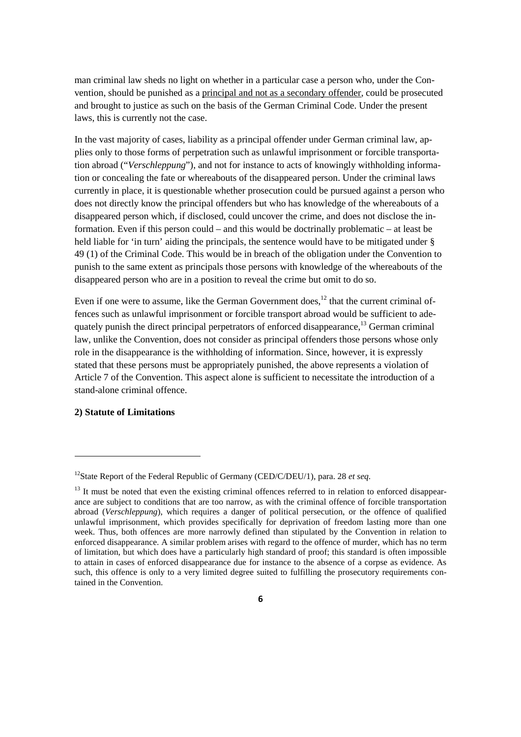man criminal law sheds no light on whether in a particular case a person who, under the Convention, should be punished as a principal and not as a secondary offender, could be prosecuted and brought to justice as such on the basis of the German Criminal Code. Under the present laws, this is currently not the case.

In the vast majority of cases, liability as a principal offender under German criminal law, applies only to those forms of perpetration such as unlawful imprisonment or forcible transportation abroad ("*Verschleppung*"), and not for instance to acts of knowingly withholding information or concealing the fate or whereabouts of the disappeared person. Under the criminal laws currently in place, it is questionable whether prosecution could be pursued against a person who does not directly know the principal offenders but who has knowledge of the whereabouts of a disappeared person which, if disclosed, could uncover the crime, and does not disclose the information. Even if this person could – and this would be doctrinally problematic – at least be held liable for 'in turn' aiding the principals, the sentence would have to be mitigated under § 49 (1) of the Criminal Code. This would be in breach of the obligation under the Convention to punish to the same extent as principals those persons with knowledge of the whereabouts of the disappeared person who are in a position to reveal the crime but omit to do so.

Even if one were to assume, like the German Government does, $^{12}$  that the current criminal offences such as unlawful imprisonment or forcible transport abroad would be sufficient to adequately punish the direct principal perpetrators of enforced disappearance,<sup>13</sup> German criminal law, unlike the Convention, does not consider as principal offenders those persons whose only role in the disappearance is the withholding of information. Since, however, it is expressly stated that these persons must be appropriately punished, the above represents a violation of Article 7 of the Convention. This aspect alone is sufficient to necessitate the introduction of a stand-alone criminal offence.

### **2) Statute of Limitations**

<sup>12</sup>State Report of the Federal Republic of Germany (CED/C/DEU/1), para. 28 *et seq*.

 $13$  It must be noted that even the existing criminal offences referred to in relation to enforced disappearance are subject to conditions that are too narrow, as with the criminal offence of forcible transportation abroad (*Verschleppung*), which requires a danger of political persecution, or the offence of qualified unlawful imprisonment, which provides specifically for deprivation of freedom lasting more than one week. Thus, both offences are more narrowly defined than stipulated by the Convention in relation to enforced disappearance. A similar problem arises with regard to the offence of murder, which has no term of limitation, but which does have a particularly high standard of proof; this standard is often impossible to attain in cases of enforced disappearance due for instance to the absence of a corpse as evidence. As such, this offence is only to a very limited degree suited to fulfilling the prosecutory requirements contained in the Convention.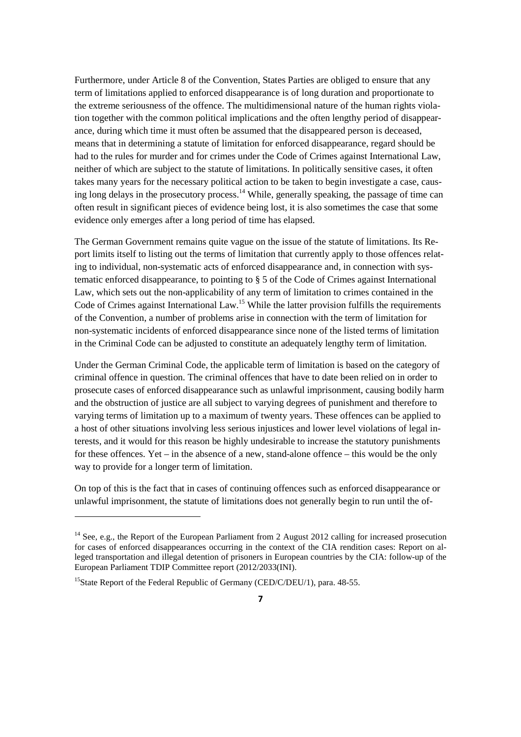Furthermore, under Article 8 of the Convention, States Parties are obliged to ensure that any term of limitations applied to enforced disappearance is of long duration and proportionate to the extreme seriousness of the offence. The multidimensional nature of the human rights violation together with the common political implications and the often lengthy period of disappearance, during which time it must often be assumed that the disappeared person is deceased, means that in determining a statute of limitation for enforced disappearance, regard should be had to the rules for murder and for crimes under the Code of Crimes against International Law, neither of which are subject to the statute of limitations. In politically sensitive cases, it often takes many years for the necessary political action to be taken to begin investigate a case, causing long delays in the prosecutory process.<sup>14</sup> While, generally speaking, the passage of time can often result in significant pieces of evidence being lost, it is also sometimes the case that some evidence only emerges after a long period of time has elapsed.

The German Government remains quite vague on the issue of the statute of limitations. Its Report limits itself to listing out the terms of limitation that currently apply to those offences relating to individual, non-systematic acts of enforced disappearance and, in connection with systematic enforced disappearance, to pointing to § 5 of the Code of Crimes against International Law, which sets out the non-applicability of any term of limitation to crimes contained in the Code of Crimes against International Law.<sup>15</sup> While the latter provision fulfills the requirements of the Convention, a number of problems arise in connection with the term of limitation for non-systematic incidents of enforced disappearance since none of the listed terms of limitation in the Criminal Code can be adjusted to constitute an adequately lengthy term of limitation.

Under the German Criminal Code, the applicable term of limitation is based on the category of criminal offence in question. The criminal offences that have to date been relied on in order to prosecute cases of enforced disappearance such as unlawful imprisonment, causing bodily harm and the obstruction of justice are all subject to varying degrees of punishment and therefore to varying terms of limitation up to a maximum of twenty years. These offences can be applied to a host of other situations involving less serious injustices and lower level violations of legal interests, and it would for this reason be highly undesirable to increase the statutory punishments for these offences. Yet – in the absence of a new, stand-alone offence – this would be the only way to provide for a longer term of limitation.

On top of this is the fact that in cases of continuing offences such as enforced disappearance or unlawful imprisonment, the statute of limitations does not generally begin to run until the of-

<sup>&</sup>lt;sup>14</sup> See, e.g., the Report of the European Parliament from 2 August 2012 calling for increased prosecution for cases of enforced disappearances occurring in the context of the CIA rendition cases: Report on alleged transportation and illegal detention of prisoners in European countries by the CIA: follow-up of the European Parliament TDIP Committee report (2012/2033(INI).

<sup>&</sup>lt;sup>15</sup>State Report of the Federal Republic of Germany (CED/C/DEU/1), para.  $48-55$ .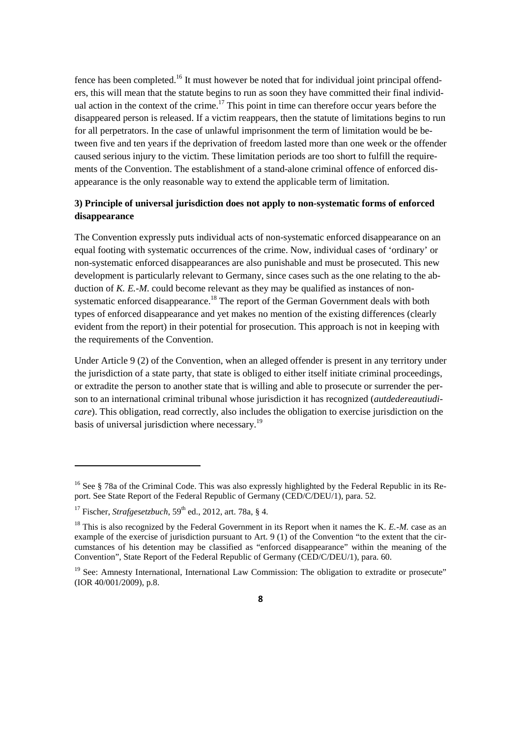fence has been completed.<sup>16</sup> It must however be noted that for individual joint principal offenders, this will mean that the statute begins to run as soon they have committed their final individual action in the context of the crime.<sup>17</sup> This point in time can therefore occur years before the disappeared person is released. If a victim reappears, then the statute of limitations begins to run for all perpetrators. In the case of unlawful imprisonment the term of limitation would be between five and ten years if the deprivation of freedom lasted more than one week or the offender caused serious injury to the victim. These limitation periods are too short to fulfill the requirements of the Convention. The establishment of a stand-alone criminal offence of enforced disappearance is the only reasonable way to extend the applicable term of limitation.

## **3) Principle of universal jurisdiction does not apply to non-systematic forms of enforced disappearance**

The Convention expressly puts individual acts of non-systematic enforced disappearance on an equal footing with systematic occurrences of the crime. Now, individual cases of 'ordinary' or non-systematic enforced disappearances are also punishable and must be prosecuted. This new development is particularly relevant to Germany, since cases such as the one relating to the abduction of *K. E.-M.* could become relevant as they may be qualified as instances of nonsystematic enforced disappearance.<sup>18</sup> The report of the German Government deals with both types of enforced disappearance and yet makes no mention of the existing differences (clearly evident from the report) in their potential for prosecution. This approach is not in keeping with the requirements of the Convention.

Under Article 9 (2) of the Convention, when an alleged offender is present in any territory under the jurisdiction of a state party, that state is obliged to either itself initiate criminal proceedings, or extradite the person to another state that is willing and able to prosecute or surrender the person to an international criminal tribunal whose jurisdiction it has recognized (*autdedereautiudicare*). This obligation, read correctly, also includes the obligation to exercise jurisdiction on the basis of universal jurisdiction where necessary.<sup>19</sup>

<sup>&</sup>lt;sup>16</sup> See § 78a of the Criminal Code. This was also expressly highlighted by the Federal Republic in its Report. See State Report of the Federal Republic of Germany (CED/C/DEU/1), para. 52.

<sup>&</sup>lt;sup>17</sup> Fischer, *Strafgesetzbuch*,  $59<sup>th</sup>$  ed., 2012, art. 78a, § 4.

<sup>&</sup>lt;sup>18</sup> This is also recognized by the Federal Government in its Report when it names the K. *E.-M.* case as an example of the exercise of jurisdiction pursuant to Art. 9 (1) of the Convention "to the extent that the circumstances of his detention may be classified as "enforced disappearance" within the meaning of the Convention", State Report of the Federal Republic of Germany (CED/C/DEU/1), para. 60.

<sup>&</sup>lt;sup>19</sup> See: Amnesty International, International Law Commission: The obligation to extradite or prosecute" (IOR 40/001/2009), p.8.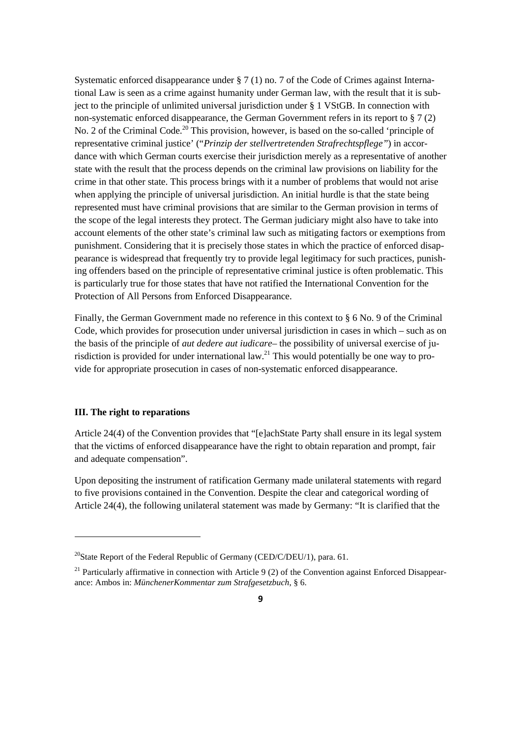Systematic enforced disappearance under § 7 (1) no. 7 of the Code of Crimes against International Law is seen as a crime against humanity under German law, with the result that it is subject to the principle of unlimited universal jurisdiction under § 1 VStGB. In connection with non-systematic enforced disappearance, the German Government refers in its report to § 7 (2) No. 2 of the Criminal Code.<sup>20</sup> This provision, however, is based on the so-called 'principle of representative criminal justice' ("*Prinzip der stellvertretenden Strafrechtspflege"*) in accordance with which German courts exercise their jurisdiction merely as a representative of another state with the result that the process depends on the criminal law provisions on liability for the crime in that other state. This process brings with it a number of problems that would not arise when applying the principle of universal jurisdiction. An initial hurdle is that the state being represented must have criminal provisions that are similar to the German provision in terms of the scope of the legal interests they protect. The German judiciary might also have to take into account elements of the other state's criminal law such as mitigating factors or exemptions from punishment. Considering that it is precisely those states in which the practice of enforced disappearance is widespread that frequently try to provide legal legitimacy for such practices, punishing offenders based on the principle of representative criminal justice is often problematic. This is particularly true for those states that have not ratified the International Convention for the Protection of All Persons from Enforced Disappearance.

Finally, the German Government made no reference in this context to § 6 No. 9 of the Criminal Code, which provides for prosecution under universal jurisdiction in cases in which – such as on the basis of the principle of *aut dedere aut iudicare*– the possibility of universal exercise of jurisdiction is provided for under international law.<sup>21</sup> This would potentially be one way to provide for appropriate prosecution in cases of non-systematic enforced disappearance.

#### **III. The right to reparations**

Article 24(4) of the Convention provides that "[e]achState Party shall ensure in its legal system that the victims of enforced disappearance have the right to obtain reparation and prompt, fair and adequate compensation".

Upon depositing the instrument of ratification Germany made unilateral statements with regard to five provisions contained in the Convention. Despite the clear and categorical wording of Article 24(4), the following unilateral statement was made by Germany: "It is clarified that the

<sup>&</sup>lt;sup>20</sup>State Report of the Federal Republic of Germany (CED/C/DEU/1), para. 61.

<sup>&</sup>lt;sup>21</sup> Particularly affirmative in connection with Article 9 (2) of the Convention against Enforced Disappearance: Ambos in: *MünchenerKommentar zum Strafgesetzbuch*, § 6.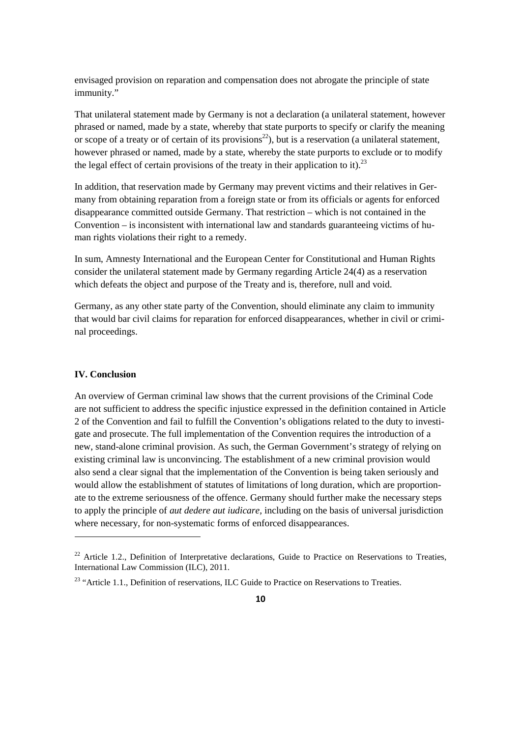envisaged provision on reparation and compensation does not abrogate the principle of state immunity."

That unilateral statement made by Germany is not a declaration (a unilateral statement, however phrased or named, made by a state, whereby that state purports to specify or clarify the meaning or scope of a treaty or of certain of its provisions<sup>22</sup>), but is a reservation (a unilateral statement, however phrased or named, made by a state, whereby the state purports to exclude or to modify the legal effect of certain provisions of the treaty in their application to it).<sup>23</sup>

In addition, that reservation made by Germany may prevent victims and their relatives in Germany from obtaining reparation from a foreign state or from its officials or agents for enforced disappearance committed outside Germany. That restriction – which is not contained in the Convention – is inconsistent with international law and standards guaranteeing victims of human rights violations their right to a remedy.

In sum, Amnesty International and the European Center for Constitutional and Human Rights consider the unilateral statement made by Germany regarding Article 24(4) as a reservation which defeats the object and purpose of the Treaty and is, therefore, null and void.

Germany, as any other state party of the Convention, should eliminate any claim to immunity that would bar civil claims for reparation for enforced disappearances, whether in civil or criminal proceedings.

### **IV. Conclusion**

An overview of German criminal law shows that the current provisions of the Criminal Code are not sufficient to address the specific injustice expressed in the definition contained in Article 2 of the Convention and fail to fulfill the Convention's obligations related to the duty to investigate and prosecute. The full implementation of the Convention requires the introduction of a new, stand-alone criminal provision. As such, the German Government's strategy of relying on existing criminal law is unconvincing. The establishment of a new criminal provision would also send a clear signal that the implementation of the Convention is being taken seriously and would allow the establishment of statutes of limitations of long duration, which are proportionate to the extreme seriousness of the offence. Germany should further make the necessary steps to apply the principle of *aut dedere aut iudicare,* including on the basis of universal jurisdiction where necessary, for non-systematic forms of enforced disappearances.

<sup>&</sup>lt;sup>22</sup> Article 1.2., Definition of Interpretative declarations, Guide to Practice on Reservations to Treaties, International Law Commission (ILC), 2011.

 $23$  "Article 1.1., Definition of reservations, ILC Guide to Practice on Reservations to Treaties.